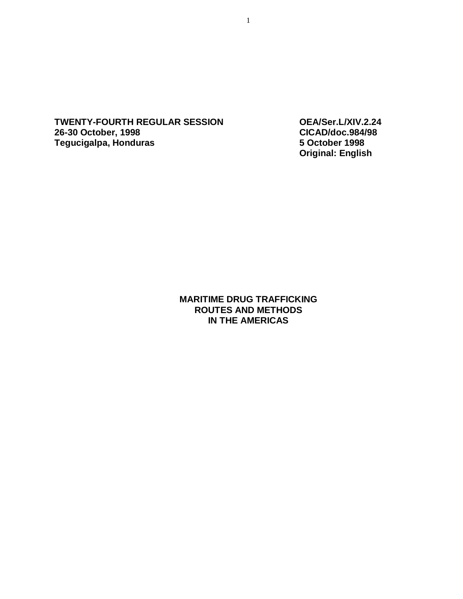**TWENTY-FOURTH REGULAR SESSION OEA/Ser.L/XIV.2.24 26-30 October, 1998 Tegucigalpa, Honduras 5 October 1998** 

**Original: English** 

**MARITIME DRUG TRAFFICKING ROUTES AND METHODS IN THE AMERICAS**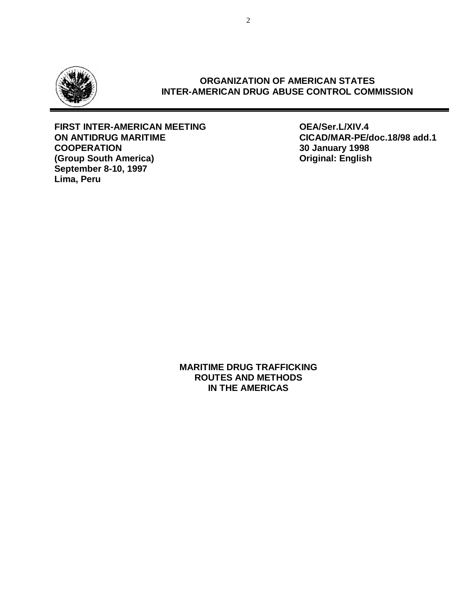

# **ORGANIZATION OF AMERICAN STATES INTER-AMERICAN DRUG ABUSE CONTROL COMMISSION**

# **FIRST INTER-AMERICAN MEETING OEA/Ser.L/XIV.4 ON ANTIDRUG MARITIME CICAD/MAR-PE/doc.18/98 add.1 (Group South America) Original: English September 8-10, 1997 Lima, Peru**

**COOPERATION 30 January 1998** 

**MARITIME DRUG TRAFFICKING ROUTES AND METHODS IN THE AMERICAS**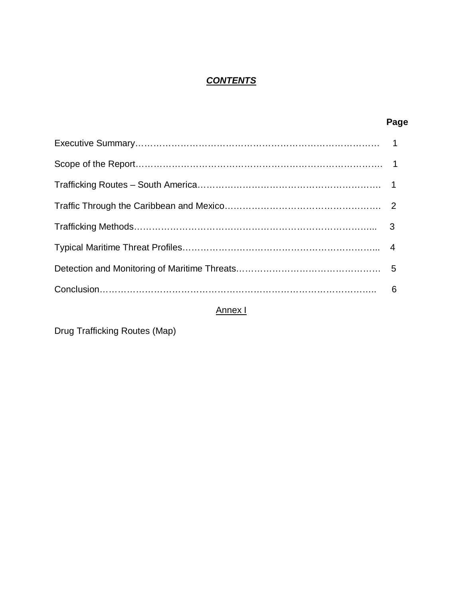# *CONTENTS*

| Page |
|------|
|      |
|      |
|      |
|      |
|      |
|      |
|      |
|      |

# Annex I

Drug Trafficking Routes (Map)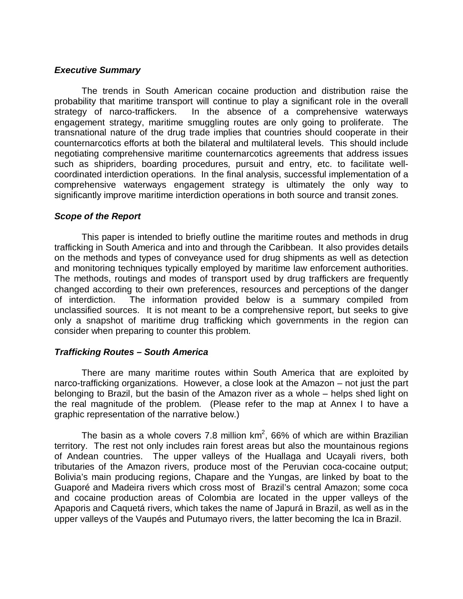# *Executive Summary*

The trends in South American cocaine production and distribution raise the probability that maritime transport will continue to play a significant role in the overall strategy of narco-traffickers. In the absence of a comprehensive waterways engagement strategy, maritime smuggling routes are only going to proliferate. The transnational nature of the drug trade implies that countries should cooperate in their counternarcotics efforts at both the bilateral and multilateral levels. This should include negotiating comprehensive maritime counternarcotics agreements that address issues such as shipriders, boarding procedures, pursuit and entry, etc. to facilitate wellcoordinated interdiction operations. In the final analysis, successful implementation of a comprehensive waterways engagement strategy is ultimately the only way to significantly improve maritime interdiction operations in both source and transit zones.

# *Scope of the Report*

This paper is intended to briefly outline the maritime routes and methods in drug trafficking in South America and into and through the Caribbean. It also provides details on the methods and types of conveyance used for drug shipments as well as detection and monitoring techniques typically employed by maritime law enforcement authorities. The methods, routings and modes of transport used by drug traffickers are frequently changed according to their own preferences, resources and perceptions of the danger of interdiction. The information provided below is a summary compiled from unclassified sources. It is not meant to be a comprehensive report, but seeks to give only a snapshot of maritime drug trafficking which governments in the region can consider when preparing to counter this problem.

# *Trafficking Routes – South America*

There are many maritime routes within South America that are exploited by narco-trafficking organizations. However, a close look at the Amazon – not just the part belonging to Brazil, but the basin of the Amazon river as a whole – helps shed light on the real magnitude of the problem. (Please refer to the map at Annex I to have a graphic representation of the narrative below.)

The basin as a whole covers 7.8 million  $km^2$ , 66% of which are within Brazilian territory. The rest not only includes rain forest areas but also the mountainous regions of Andean countries. The upper valleys of the Huallaga and Ucayali rivers, both tributaries of the Amazon rivers, produce most of the Peruvian coca-cocaine output; Bolivia's main producing regions, Chapare and the Yungas, are linked by boat to the Guaporé and Madeira rivers which cross most of Brazil's central Amazon; some coca and cocaine production areas of Colombia are located in the upper valleys of the Apaporis and Caquetá rivers, which takes the name of Japurá in Brazil, as well as in the upper valleys of the Vaupés and Putumayo rivers, the latter becoming the Ica in Brazil.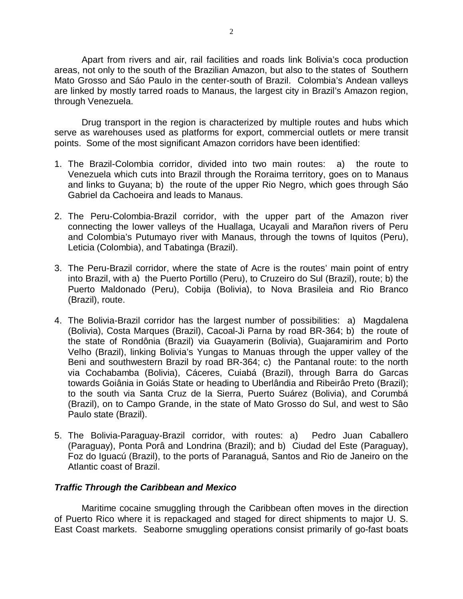Apart from rivers and air, rail facilities and roads link Bolivia's coca production areas, not only to the south of the Brazilian Amazon, but also to the states of Southern Mato Grosso and Sáo Paulo in the center-south of Brazil. Colombia's Andean valleys are linked by mostly tarred roads to Manaus, the largest city in Brazil's Amazon region, through Venezuela.

Drug transport in the region is characterized by multiple routes and hubs which serve as warehouses used as platforms for export, commercial outlets or mere transit points. Some of the most significant Amazon corridors have been identified:

- 1. The Brazil-Colombia corridor, divided into two main routes: a) the route to Venezuela which cuts into Brazil through the Roraima territory, goes on to Manaus and links to Guyana; b) the route of the upper Rio Negro, which goes through Sáo Gabriel da Cachoeira and leads to Manaus.
- 2. The Peru-Colombia-Brazil corridor, with the upper part of the Amazon river connecting the lower valleys of the Huallaga, Ucayali and Marañon rivers of Peru and Colombia's Putumayo river with Manaus, through the towns of Iquitos (Peru), Leticia (Colombia), and Tabatinga (Brazil).
- 3. The Peru-Brazil corridor, where the state of Acre is the routes' main point of entry into Brazil, with a) the Puerto Portillo (Peru), to Cruzeiro do Sul (Brazil), route; b) the Puerto Maldonado (Peru), Cobija (Bolivia), to Nova Brasileia and Rio Branco (Brazil), route.
- 4. The Bolivia-Brazil corridor has the largest number of possibilities: a) Magdalena (Bolivia), Costa Marques (Brazil), Cacoal-Ji Parna by road BR-364; b) the route of the state of Rondônia (Brazil) via Guayamerin (Bolivia), Guajaramirim and Porto Velho (Brazil), linking Bolivia's Yungas to Manuas through the upper valley of the Beni and southwestern Brazil by road BR-364; c) the Pantanal route: to the north via Cochabamba (Bolivia), Cáceres, Cuiabá (Brazil), through Barra do Garcas towards Goiânia in Goiás State or heading to Uberlândia and Ribeirâo Preto (Brazil); to the south via Santa Cruz de la Sierra, Puerto Suárez (Bolivia), and Corumbá (Brazil), on to Campo Grande, in the state of Mato Grosso do Sul, and west to Sâo Paulo state (Brazil).
- 5. The Bolivia-Paraguay-Brazil corridor, with routes: a) Pedro Juan Caballero (Paraguay), Ponta Porâ and Londrina (Brazil); and b) Ciudad del Este (Paraguay), Foz do Iguacú (Brazil), to the ports of Paranaguá, Santos and Rio de Janeiro on the Atlantic coast of Brazil.

# *Traffic Through the Caribbean and Mexico*

Maritime cocaine smuggling through the Caribbean often moves in the direction of Puerto Rico where it is repackaged and staged for direct shipments to major U. S. East Coast markets. Seaborne smuggling operations consist primarily of go-fast boats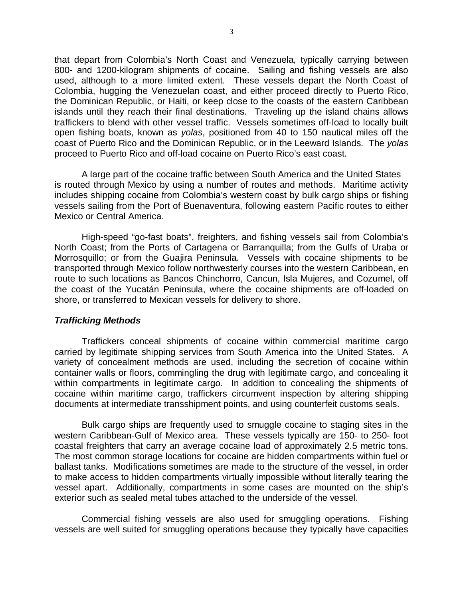that depart from Colombia's North Coast and Venezuela, typically carrying between 800- and 1200-kilogram shipments of cocaine. Sailing and fishing vessels are also used, although to a more limited extent. These vessels depart the North Coast of Colombia, hugging the Venezuelan coast, and either proceed directly to Puerto Rico, the Dominican Republic, or Haiti, or keep close to the coasts of the eastern Caribbean islands until they reach their final destinations. Traveling up the island chains allows traffickers to blend with other vessel traffic. Vessels sometimes off-load to locally built open fishing boats, known as *yolas*, positioned from 40 to 150 nautical miles off the coast of Puerto Rico and the Dominican Republic, or in the Leeward Islands. The *yolas* proceed to Puerto Rico and off-load cocaine on Puerto Rico's east coast.

A large part of the cocaine traffic between South America and the United States is routed through Mexico by using a number of routes and methods. Maritime activity includes shipping cocaine from Colombia's western coast by bulk cargo ships or fishing vessels sailing from the Port of Buenaventura, following eastern Pacific routes to either Mexico or Central America.

High-speed "go-fast boats", freighters, and fishing vessels sail from Colombia's North Coast; from the Ports of Cartagena or Barranquilla; from the Gulfs of Uraba or Morrosquillo; or from the Guajira Peninsula. Vessels with cocaine shipments to be transported through Mexico follow northwesterly courses into the western Caribbean, en route to such locations as Bancos Chinchorro, Cancun, Isla Mujeres, and Cozumel, off the coast of the Yucatán Peninsula, where the cocaine shipments are off-loaded on shore, or transferred to Mexican vessels for delivery to shore.

# *Trafficking Methods*

Traffickers conceal shipments of cocaine within commercial maritime cargo carried by legitimate shipping services from South America into the United States. A variety of concealment methods are used, including the secretion of cocaine within container walls or floors, commingling the drug with legitimate cargo, and concealing it within compartments in legitimate cargo. In addition to concealing the shipments of cocaine within maritime cargo, traffickers circumvent inspection by altering shipping documents at intermediate transshipment points, and using counterfeit customs seals.

Bulk cargo ships are frequently used to smuggle cocaine to staging sites in the western Caribbean-Gulf of Mexico area. These vessels typically are 150- to 250- foot coastal freighters that carry an average cocaine load of approximately 2.5 metric tons. The most common storage locations for cocaine are hidden compartments within fuel or ballast tanks. Modifications sometimes are made to the structure of the vessel, in order to make access to hidden compartments virtually impossible without literally tearing the vessel apart. Additionally, compartments in some cases are mounted on the ship's exterior such as sealed metal tubes attached to the underside of the vessel.

Commercial fishing vessels are also used for smuggling operations. Fishing vessels are well suited for smuggling operations because they typically have capacities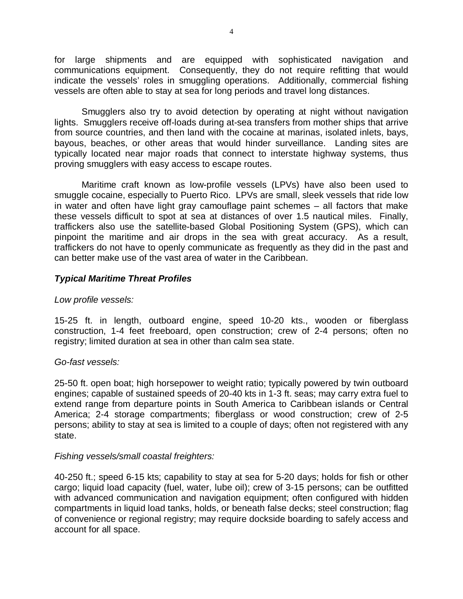for large shipments and are equipped with sophisticated navigation and communications equipment. Consequently, they do not require refitting that would indicate the vessels' roles in smuggling operations. Additionally, commercial fishing vessels are often able to stay at sea for long periods and travel long distances.

Smugglers also try to avoid detection by operating at night without navigation lights. Smugglers receive off-loads during at-sea transfers from mother ships that arrive from source countries, and then land with the cocaine at marinas, isolated inlets, bays, bayous, beaches, or other areas that would hinder surveillance. Landing sites are typically located near major roads that connect to interstate highway systems, thus proving smugglers with easy access to escape routes.

Maritime craft known as low-profile vessels (LPVs) have also been used to smuggle cocaine, especially to Puerto Rico. LPVs are small, sleek vessels that ride low in water and often have light gray camouflage paint schemes – all factors that make these vessels difficult to spot at sea at distances of over 1.5 nautical miles. Finally, traffickers also use the satellite-based Global Positioning System (GPS), which can pinpoint the maritime and air drops in the sea with great accuracy. As a result, traffickers do not have to openly communicate as frequently as they did in the past and can better make use of the vast area of water in the Caribbean.

# *Typical Maritime Threat Profiles*

# *Low profile vessels:*

15-25 ft. in length, outboard engine, speed 10-20 kts., wooden or fiberglass construction, 1-4 feet freeboard, open construction; crew of 2-4 persons; often no registry; limited duration at sea in other than calm sea state.

# *Go-fast vessels:*

25-50 ft. open boat; high horsepower to weight ratio; typically powered by twin outboard engines; capable of sustained speeds of 20-40 kts in 1-3 ft. seas; may carry extra fuel to extend range from departure points in South America to Caribbean islands or Central America; 2-4 storage compartments; fiberglass or wood construction; crew of 2-5 persons; ability to stay at sea is limited to a couple of days; often not registered with any state.

# *Fishing vessels/small coastal freighters:*

40-250 ft.; speed 6-15 kts; capability to stay at sea for 5-20 days; holds for fish or other cargo; liquid load capacity (fuel, water, lube oil); crew of 3-15 persons; can be outfitted with advanced communication and navigation equipment; often configured with hidden compartments in liquid load tanks, holds, or beneath false decks; steel construction; flag of convenience or regional registry; may require dockside boarding to safely access and account for all space.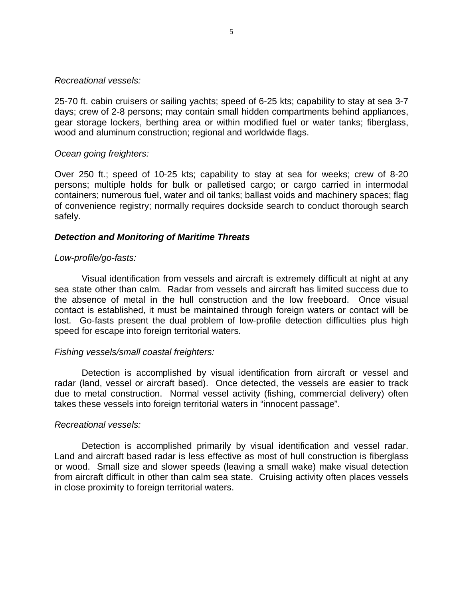#### *Recreational vessels:*

25-70 ft. cabin cruisers or sailing yachts; speed of 6-25 kts; capability to stay at sea 3-7 days; crew of 2-8 persons; may contain small hidden compartments behind appliances, gear storage lockers, berthing area or within modified fuel or water tanks; fiberglass, wood and aluminum construction; regional and worldwide flags.

# *Ocean going freighters:*

Over 250 ft.; speed of 10-25 kts; capability to stay at sea for weeks; crew of 8-20 persons; multiple holds for bulk or palletised cargo; or cargo carried in intermodal containers; numerous fuel, water and oil tanks; ballast voids and machinery spaces; flag of convenience registry; normally requires dockside search to conduct thorough search safely.

# *Detection and Monitoring of Maritime Threats*

# *Low-profile/go-fasts:*

Visual identification from vessels and aircraft is extremely difficult at night at any sea state other than calm. Radar from vessels and aircraft has limited success due to the absence of metal in the hull construction and the low freeboard. Once visual contact is established, it must be maintained through foreign waters or contact will be lost. Go-fasts present the dual problem of low-profile detection difficulties plus high speed for escape into foreign territorial waters.

# *Fishing vessels/small coastal freighters:*

Detection is accomplished by visual identification from aircraft or vessel and radar (land, vessel or aircraft based). Once detected, the vessels are easier to track due to metal construction. Normal vessel activity (fishing, commercial delivery) often takes these vessels into foreign territorial waters in "innocent passage".

# *Recreational vessels:*

Detection is accomplished primarily by visual identification and vessel radar. Land and aircraft based radar is less effective as most of hull construction is fiberglass or wood. Small size and slower speeds (leaving a small wake) make visual detection from aircraft difficult in other than calm sea state. Cruising activity often places vessels in close proximity to foreign territorial waters.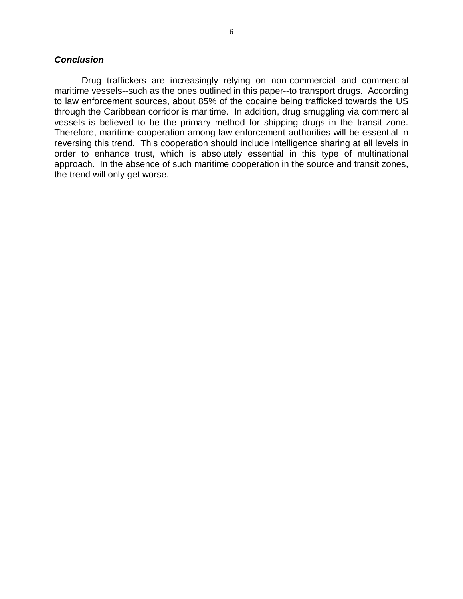# *Conclusion*

Drug traffickers are increasingly relying on non-commercial and commercial maritime vessels--such as the ones outlined in this paper--to transport drugs. According to law enforcement sources, about 85% of the cocaine being trafficked towards the US through the Caribbean corridor is maritime. In addition, drug smuggling via commercial vessels is believed to be the primary method for shipping drugs in the transit zone. Therefore, maritime cooperation among law enforcement authorities will be essential in reversing this trend. This cooperation should include intelligence sharing at all levels in order to enhance trust, which is absolutely essential in this type of multinational approach. In the absence of such maritime cooperation in the source and transit zones, the trend will only get worse.